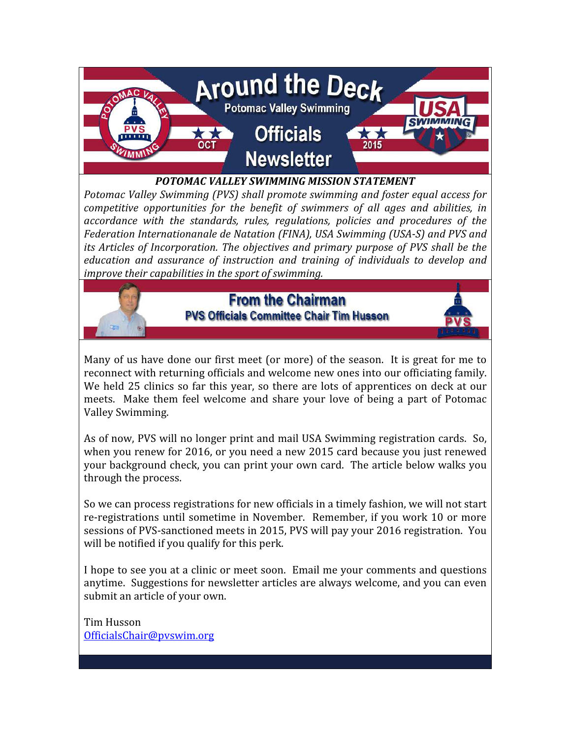

#### POTOMAC VALLEY SWIMMING MISSION STATEMENT

Potomac Valley Swimming (PVS) shall promote swimming and foster equal access for competitive opportunities for the benefit of swimmers of all ages and abilities, in accordance with the standards, rules, regulations, policies and procedures of the Federation Internationanale de Natation (FINA), USA Swimming (USA-S) and PVS and its Articles of Incorporation. The objectives and primary purpose of PVS shall be the education and assurance of instruction and training of individuals to develop and improve their capabilities in the sport of swimming.



### **From the Chairman PVS Officials Committee Chair Tim Husson**



Many of us have done our first meet (or more) of the season. It is great for me to reconnect with returning officials and welcome new ones into our officiating family. We held 25 clinics so far this year, so there are lots of apprentices on deck at our meets. Make them feel welcome and share your love of being a part of Potomac Valley Swimming.

As of now, PVS will no longer print and mail USA Swimming registration cards. So, when you renew for 2016, or you need a new 2015 card because you just renewed your background check, you can print your own card. The article below walks you through the process.

So we can process registrations for new officials in a timely fashion, we will not start re-registrations until sometime in November. Remember, if you work 10 or more sessions of PVS-sanctioned meets in 2015, PVS will pay your 2016 registration. You will be notified if you qualify for this perk.

I hope to see you at a clinic or meet soon. Email me your comments and questions anytime. Suggestions for newsletter articles are always welcome, and you can even submit an article of your own.

Tim Husson OfficialsChair@pvswim.org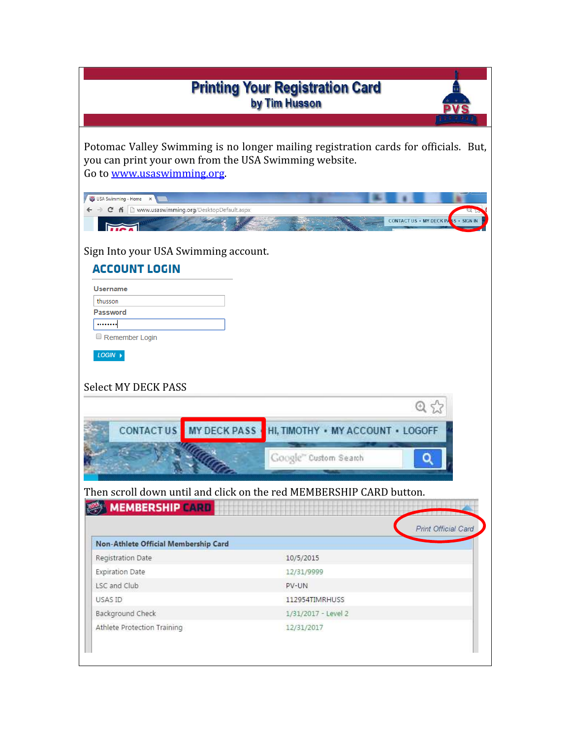| <b>Printing Your Registration Card</b><br>by Tim Husson                             |                                                                                     |  |  |  |
|-------------------------------------------------------------------------------------|-------------------------------------------------------------------------------------|--|--|--|
|                                                                                     |                                                                                     |  |  |  |
|                                                                                     |                                                                                     |  |  |  |
| you can print your own from the USA Swimming website.<br>Go to www.usaswimming.org. | Potomac Valley Swimming is no longer mailing registration cards for officials. But, |  |  |  |
| USA Swimming - Home<br>$\boldsymbol{\times}$                                        |                                                                                     |  |  |  |
| → C n D www.usaswimming.org/DesktopDefault.aspx                                     |                                                                                     |  |  |  |
|                                                                                     | <b>CONTACT US · MY DECK PA</b>                                                      |  |  |  |
| Sign Into your USA Swimming account.                                                |                                                                                     |  |  |  |
| <b>ACCOUNT LOGIN</b>                                                                |                                                                                     |  |  |  |
| <b>Username</b>                                                                     |                                                                                     |  |  |  |
| thusson                                                                             |                                                                                     |  |  |  |
| Password                                                                            |                                                                                     |  |  |  |
|                                                                                     |                                                                                     |  |  |  |
| Remember Login                                                                      |                                                                                     |  |  |  |
| LOGIN                                                                               |                                                                                     |  |  |  |
|                                                                                     |                                                                                     |  |  |  |
|                                                                                     |                                                                                     |  |  |  |
| <b>Select MY DECK PASS</b>                                                          |                                                                                     |  |  |  |
|                                                                                     | $Q \leq$                                                                            |  |  |  |
| MY DECK PASS<br><b>CONTACTUS</b>                                                    | HI, TIMOTHY · MY ACCOUNT · LOGOFF                                                   |  |  |  |
|                                                                                     |                                                                                     |  |  |  |
|                                                                                     | Google" Custom Search                                                               |  |  |  |
|                                                                                     |                                                                                     |  |  |  |
|                                                                                     |                                                                                     |  |  |  |
|                                                                                     | Then scroll down until and click on the red MEMBERSHIP CARD button.                 |  |  |  |
| <b>MEMBERSHIP CARD</b>                                                              |                                                                                     |  |  |  |
|                                                                                     | Print Official Card                                                                 |  |  |  |
| Non-Athlete Official Membership Card                                                |                                                                                     |  |  |  |
|                                                                                     | 10/5/2015                                                                           |  |  |  |
| Registration Date                                                                   | 12/31/9999                                                                          |  |  |  |
| <b>Expiration Date</b><br>LSC and Club                                              | PV-UN                                                                               |  |  |  |
| USAS ID                                                                             | 112954TIMRHUSS                                                                      |  |  |  |
|                                                                                     |                                                                                     |  |  |  |
| Background Check                                                                    | 1/31/2017 - Level 2                                                                 |  |  |  |
| Athlete Protection Training                                                         | 12/31/2017                                                                          |  |  |  |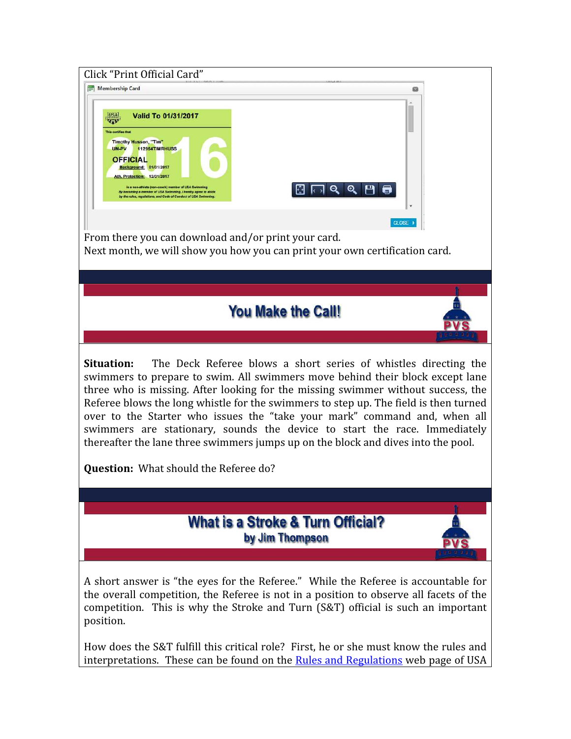| Click "Print Official Card"                                                                                                                                                                                                                                                                                                                                                                                                                                                                                                                                                                                                                      |  |  |  |  |
|--------------------------------------------------------------------------------------------------------------------------------------------------------------------------------------------------------------------------------------------------------------------------------------------------------------------------------------------------------------------------------------------------------------------------------------------------------------------------------------------------------------------------------------------------------------------------------------------------------------------------------------------------|--|--|--|--|
| Membership Card                                                                                                                                                                                                                                                                                                                                                                                                                                                                                                                                                                                                                                  |  |  |  |  |
| <b>Valid To 01/31/2017</b><br><b>USA</b><br><b>700</b><br>This certifies that<br>Timothy Husson, "Tim"<br>UN-PV<br>112954TIMRHUSS<br><b>OFFICIAL</b><br>Background: 01/31/2017<br>Ath. Protection: 12/31/2017<br>is a non-athlete (non-coach) member of USA Swimming<br>$\overline{\phantom{a}}$ ା ବ୍ୟା<br>М<br>H<br>By becoming a member of USA Swimming, I hereby agree to abide<br>by the rules, regulations, and Code of Conduct of USA Swimming.<br>CLOSE<br>From there you can download and/or print your card.<br>Next month, we will show you how you can print your own certification card.                                             |  |  |  |  |
|                                                                                                                                                                                                                                                                                                                                                                                                                                                                                                                                                                                                                                                  |  |  |  |  |
| <b>You Make the Call!</b>                                                                                                                                                                                                                                                                                                                                                                                                                                                                                                                                                                                                                        |  |  |  |  |
| <b>Situation:</b><br>The Deck Referee blows a short series of whistles directing the<br>swimmers to prepare to swim. All swimmers move behind their block except lane<br>three who is missing. After looking for the missing swimmer without success, the<br>Referee blows the long whistle for the swimmers to step up. The field is then turned<br>over to the Starter who issues the "take your mark" command and, when all<br>swimmers are stationary, sounds the device to start the race. Immediately<br>thereafter the lane three swimmers jumps up on the block and dives into the pool.<br><b>Question:</b> What should the Referee do? |  |  |  |  |
|                                                                                                                                                                                                                                                                                                                                                                                                                                                                                                                                                                                                                                                  |  |  |  |  |
| <b>What is a Stroke &amp; Turn Official?</b><br>by Jim Thompson                                                                                                                                                                                                                                                                                                                                                                                                                                                                                                                                                                                  |  |  |  |  |
| A short answer is "the eyes for the Referee." While the Referee is accountable for<br>the overall competition, the Referee is not in a position to observe all facets of the<br>competition. This is why the Stroke and Turn (S&T) official is such an important<br>position.                                                                                                                                                                                                                                                                                                                                                                    |  |  |  |  |
| How does the S&T fulfill this critical role? First, he or she must know the rules and<br>interpretations. These can be found on the <b>Rules and Regulations</b> web page of USA                                                                                                                                                                                                                                                                                                                                                                                                                                                                 |  |  |  |  |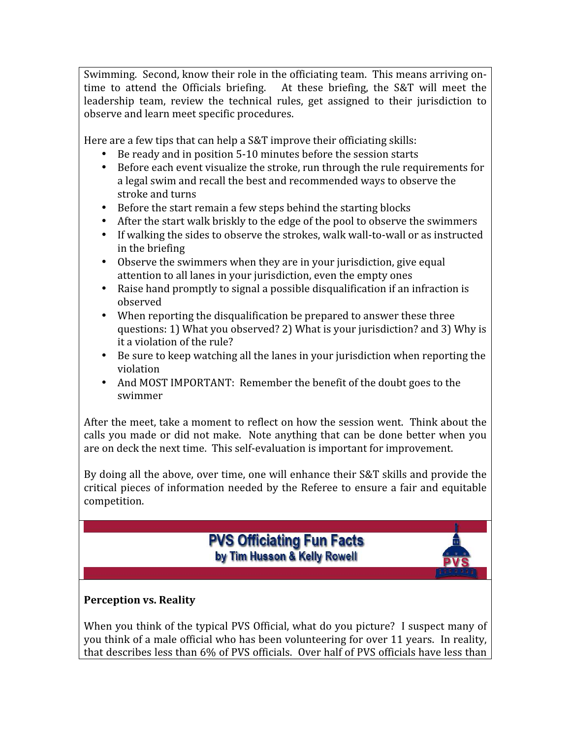Swimming. Second, know their role in the officiating team. This means arriving ontime to attend the Officials briefing. At these briefing, the S&T will meet the leadership team, review the technical rules, get assigned to their jurisdiction to observe and learn meet specific procedures.

Here are a few tips that can help a S&T improve their officiating skills:

- Be ready and in position 5-10 minutes before the session starts
- Before each event visualize the stroke, run through the rule requirements for a legal swim and recall the best and recommended ways to observe the stroke and turns
- Before the start remain a few steps behind the starting blocks
- After the start walk briskly to the edge of the pool to observe the swimmers
- If walking the sides to observe the strokes, walk wall-to-wall or as instructed in the briefing
- Observe the swimmers when they are in your jurisdiction, give equal attention to all lanes in your jurisdiction, even the empty ones
- Raise hand promptly to signal a possible disqualification if an infraction is observed
- When reporting the disqualification be prepared to answer these three questions: 1) What you observed? 2) What is your jurisdiction? and 3) Why is it a violation of the rule?
- Be sure to keep watching all the lanes in your jurisdiction when reporting the violation
- And MOST IMPORTANT: Remember the benefit of the doubt goes to the swimmer

After the meet, take a moment to reflect on how the session went. Think about the calls you made or did not make. Note anything that can be done better when you are on deck the next time. This self-evaluation is important for improvement.

By doing all the above, over time, one will enhance their S&T skills and provide the critical pieces of information needed by the Referee to ensure a fair and equitable competition.

# **PVS Officiating Fun Facts** by Tim Husson & Kelly Rowell



## Perception vs. Reality

When you think of the typical PVS Official, what do you picture? I suspect many of you think of a male official who has been volunteering for over 11 years. In reality, that describes less than 6% of PVS officials. Over half of PVS officials have less than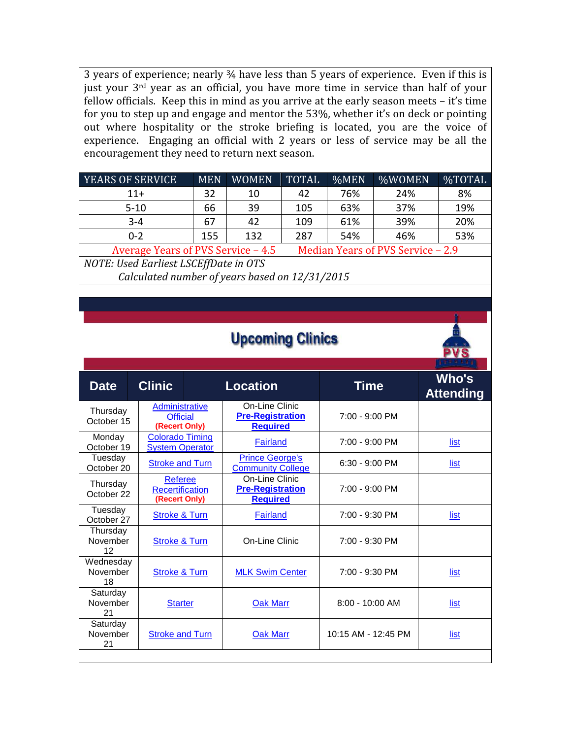3 years of experience; nearly ¾ have less than 5 years of experience. Even if this is just your 3<sup>rd</sup> year as an official, you have more time in service than half of your fellow officials. Keep this in mind as you arrive at the early season meets – it's time for you to step up and engage and mentor the 53%, whether it's on deck or pointing out where hospitality or the stroke briefing is located, you are the voice of experience. Engaging an official with 2 years or less of service may be all the encouragement they need to return next season.

| <b>YEARS OF SERVICE</b>                                                                                                                                | <b>MEN</b> | <b>WOMEN</b> | <b>TOTAL</b> | %MEN | %WOMEN | %TOTAL |
|--------------------------------------------------------------------------------------------------------------------------------------------------------|------------|--------------|--------------|------|--------|--------|
| $11+$                                                                                                                                                  | 32         | 10           | 42           | 76%  | 24%    | 8%     |
| $5-10$                                                                                                                                                 | 66         | 39           | 105          | 63%  | 37%    | 19%    |
| $3 - 4$                                                                                                                                                | 67         | 42           | 109          | 61%  | 39%    | 20%    |
| $0 - 2$                                                                                                                                                | 155        | 132          | 287          | 54%  | 46%    | 53%    |
| $A_{V2}$ $Q_{Q2}$ $Q_{Q2}$ $Q_{Q1}$ $Q_{Q1}$ $Q_{Q2}$ $Q_{Q1}$ $Q_{Q2}$ $Q_{Q1}$ $Q_{Q2}$ $Q_{Q1}$ $Q_{Q2}$ $Q_{Q1}$<br>Modian Veare of DUC Camrice 20 |            |              |              |      |        |        |

Average Years of PVS Service – 4.5 Median Years of PVS Service – 2.9 NOTE: Used Earliest LSCEffDate in OTS

Calculated number of years based on 12/31/2015

| <b>Upcoming Clinics</b>     |                                                           |  |                                                              |                     |                           |
|-----------------------------|-----------------------------------------------------------|--|--------------------------------------------------------------|---------------------|---------------------------|
| <b>Date</b>                 | <b>Clinic</b>                                             |  | <b>Location</b>                                              | <b>Time</b>         | Who's<br><b>Attending</b> |
| Thursday<br>October 15      | <b>Administrative</b><br><b>Official</b><br>(Recert Only) |  | On-Line Clinic<br><b>Pre-Registration</b><br><b>Required</b> | 7:00 - 9:00 PM      |                           |
| Monday<br>October 19        | <b>Colorado Timing</b><br><b>System Operator</b>          |  | Fairland                                                     | 7:00 - 9:00 PM      | list                      |
| Tuesday<br>October 20       | <b>Stroke and Turn</b>                                    |  | <b>Prince George's</b><br><b>Community College</b>           | 6:30 - 9:00 PM      | list                      |
| Thursday<br>October 22      | <b>Referee</b><br><b>Recertification</b><br>(Recert Only) |  | On-Line Clinic<br><b>Pre-Registration</b><br><b>Required</b> | 7:00 - 9:00 PM      |                           |
| Tuesday<br>October 27       | <b>Stroke &amp; Turn</b>                                  |  | <b>Fairland</b>                                              | 7:00 - 9:30 PM      | list                      |
| Thursday<br>November<br>12  | <b>Stroke &amp; Turn</b>                                  |  | On-Line Clinic                                               | 7:00 - 9:30 PM      |                           |
| Wednesday<br>November<br>18 | <b>Stroke &amp; Turn</b>                                  |  | <b>MLK Swim Center</b>                                       | 7:00 - 9:30 PM      | list                      |
| Saturday<br>November<br>21  | <b>Starter</b>                                            |  | <b>Oak Marr</b>                                              | $8:00 - 10:00$ AM   | list                      |
| Saturday<br>November<br>21  | <b>Stroke and Turn</b>                                    |  | <b>Oak Marr</b>                                              | 10:15 AM - 12:45 PM | list                      |
|                             |                                                           |  |                                                              |                     |                           |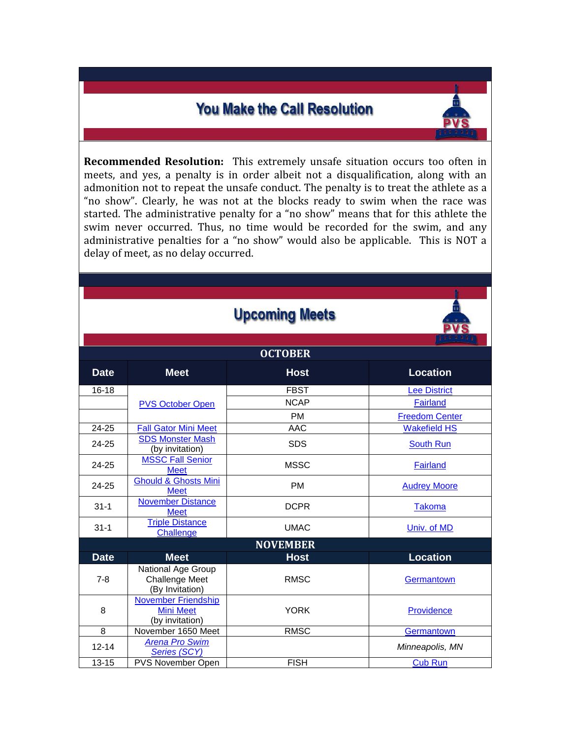# **You Make the Call Resolution**

Recommended Resolution: This extremely unsafe situation occurs too often in meets, and yes, a penalty is in order albeit not a disqualification, along with an admonition not to repeat the unsafe conduct. The penalty is to treat the athlete as a "no show". Clearly, he was not at the blocks ready to swim when the race was started. The administrative penalty for a "no show" means that for this athlete the swim never occurred. Thus, no time would be recorded for the swim, and any administrative penalties for a "no show" would also be applicable. This is NOT a delay of meet, as no delay occurred.

|                 |                                                                | <b>Upcoming Meets</b> |                       |  |  |  |
|-----------------|----------------------------------------------------------------|-----------------------|-----------------------|--|--|--|
| <b>OCTOBER</b>  |                                                                |                       |                       |  |  |  |
| <b>Date</b>     | <b>Meet</b>                                                    | <b>Host</b>           | <b>Location</b>       |  |  |  |
| $16 - 18$       |                                                                | <b>FBST</b>           | <b>Lee District</b>   |  |  |  |
|                 | <b>PVS October Open</b>                                        | <b>NCAP</b>           | Fairland              |  |  |  |
|                 |                                                                | <b>PM</b>             | <b>Freedom Center</b> |  |  |  |
| 24-25           | <b>Fall Gator Mini Meet</b>                                    | <b>AAC</b>            | <b>Wakefield HS</b>   |  |  |  |
| 24-25           | <b>SDS Monster Mash</b><br>(by invitation)                     | <b>SDS</b>            | <b>South Run</b>      |  |  |  |
| 24-25           | <b>MSSC Fall Senior</b><br><b>Meet</b>                         | <b>MSSC</b>           | <b>Fairland</b>       |  |  |  |
| 24-25           | <b>Ghould &amp; Ghosts Mini</b><br><b>Meet</b>                 | <b>PM</b>             | <b>Audrey Moore</b>   |  |  |  |
| $31 - 1$        | <b>November Distance</b><br><b>Meet</b>                        | <b>DCPR</b>           | Takoma                |  |  |  |
| $31 - 1$        | <b>Triple Distance</b><br>Challenge                            | <b>UMAC</b>           | Univ. of MD           |  |  |  |
| <b>NOVEMBER</b> |                                                                |                       |                       |  |  |  |
| <b>Date</b>     | <b>Meet</b>                                                    | <b>Host</b>           | <b>Location</b>       |  |  |  |
| $7 - 8$         | National Age Group<br><b>Challenge Meet</b><br>(By Invitation) | <b>RMSC</b>           | Germantown            |  |  |  |
| 8               | November Friendship<br><b>Mini Meet</b><br>(by invitation)     | <b>YORK</b>           | Providence            |  |  |  |
| 8               | November 1650 Meet                                             | <b>RMSC</b>           | Germantown            |  |  |  |
| $12 - 14$       | <b>Arena Pro Swim</b><br>Series (SCY)                          |                       | Minneapolis, MN       |  |  |  |
| $13 - 15$       | <b>PVS November Open</b>                                       | <b>FISH</b>           | <b>Cub Run</b>        |  |  |  |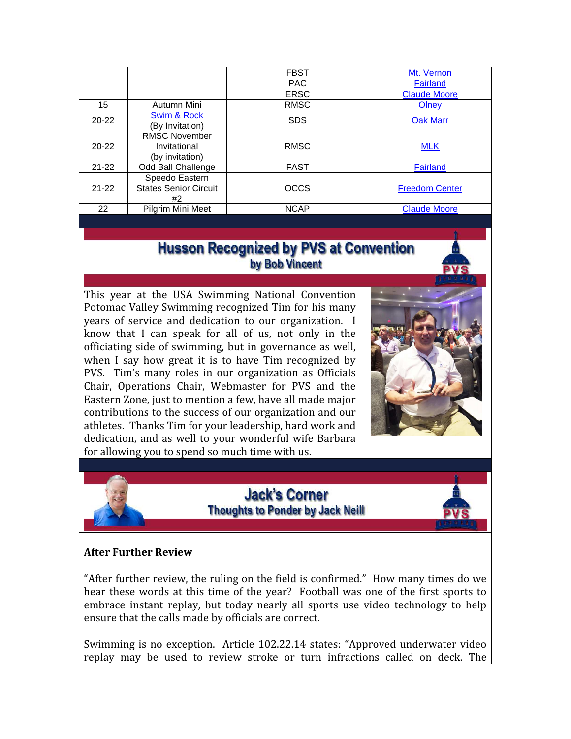|           |                                                         | <b>FBST</b> | Mt. Vernon            |
|-----------|---------------------------------------------------------|-------------|-----------------------|
|           |                                                         | <b>PAC</b>  | <b>Fairland</b>       |
|           |                                                         | <b>ERSC</b> | <b>Claude Moore</b>   |
| 15        | Autumn Mini                                             | <b>RMSC</b> | Olney                 |
| $20 - 22$ | Swim & Rock<br>By Invitation)                           | <b>SDS</b>  | <b>Oak Marr</b>       |
| $20 - 22$ | <b>RMSC November</b><br>Invitational<br>(by invitation) | <b>RMSC</b> | <b>MLK</b>            |
| $21 - 22$ | Odd Ball Challenge                                      | <b>FAST</b> | <b>Fairland</b>       |
| $21 - 22$ | Speedo Eastern<br><b>States Senior Circuit</b><br>#2    | <b>OCCS</b> | <b>Freedom Center</b> |
| 22        | Pilgrim Mini Meet                                       | <b>NCAP</b> | <b>Claude Moore</b>   |

# **Husson Recognized by PVS at Convention** by Bob Vincent

This year at the USA Swimming National Convention Potomac Valley Swimming recognized Tim for his many years of service and dedication to our organization. I know that I can speak for all of us, not only in the officiating side of swimming, but in governance as well, when I say how great it is to have Tim recognized by PVS. Tim's many roles in our organization as Officials Chair, Operations Chair, Webmaster for PVS and the Eastern Zone, just to mention a few, have all made major contributions to the success of our organization and our athletes. Thanks Tim for your leadership, hard work and dedication, and as well to your wonderful wife Barbara for allowing you to spend so much time with us.



## **Jack's Corner Thoughts to Ponder by Jack Neill**



### After Further Review

"After further review, the ruling on the field is confirmed." How many times do we hear these words at this time of the year? Football was one of the first sports to embrace instant replay, but today nearly all sports use video technology to help ensure that the calls made by officials are correct.

Swimming is no exception. Article 102.22.14 states: "Approved underwater video replay may be used to review stroke or turn infractions called on deck. The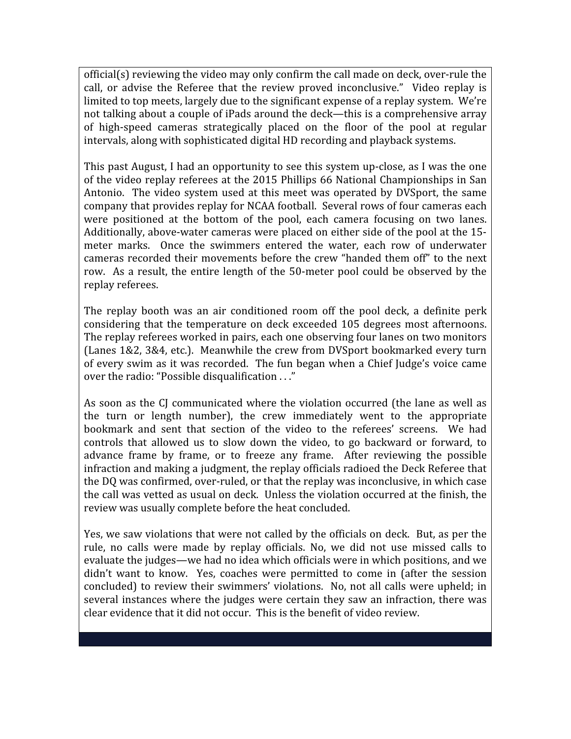official(s) reviewing the video may only confirm the call made on deck, over-rule the call, or advise the Referee that the review proved inconclusive." Video replay is limited to top meets, largely due to the significant expense of a replay system. We're not talking about a couple of iPads around the deck—this is a comprehensive array of high-speed cameras strategically placed on the floor of the pool at regular intervals, along with sophisticated digital HD recording and playback systems.

This past August, I had an opportunity to see this system up-close, as I was the one of the video replay referees at the 2015 Phillips 66 National Championships in San Antonio. The video system used at this meet was operated by DVSport, the same company that provides replay for NCAA football. Several rows of four cameras each were positioned at the bottom of the pool, each camera focusing on two lanes. Additionally, above-water cameras were placed on either side of the pool at the 15 meter marks. Once the swimmers entered the water, each row of underwater cameras recorded their movements before the crew "handed them off" to the next row. As a result, the entire length of the 50-meter pool could be observed by the replay referees.

The replay booth was an air conditioned room off the pool deck, a definite perk considering that the temperature on deck exceeded 105 degrees most afternoons. The replay referees worked in pairs, each one observing four lanes on two monitors (Lanes 1&2, 3&4, etc.). Meanwhile the crew from DVSport bookmarked every turn of every swim as it was recorded. The fun began when a Chief Judge's voice came over the radio: "Possible disqualification . . ."

As soon as the CJ communicated where the violation occurred (the lane as well as the turn or length number), the crew immediately went to the appropriate bookmark and sent that section of the video to the referees' screens. We had controls that allowed us to slow down the video, to go backward or forward, to advance frame by frame, or to freeze any frame. After reviewing the possible infraction and making a judgment, the replay officials radioed the Deck Referee that the DQ was confirmed, over-ruled, or that the replay was inconclusive, in which case the call was vetted as usual on deck. Unless the violation occurred at the finish, the review was usually complete before the heat concluded.

Yes, we saw violations that were not called by the officials on deck. But, as per the rule, no calls were made by replay officials. No, we did not use missed calls to evaluate the judges—we had no idea which officials were in which positions, and we didn't want to know. Yes, coaches were permitted to come in (after the session concluded) to review their swimmers' violations. No, not all calls were upheld; in several instances where the judges were certain they saw an infraction, there was clear evidence that it did not occur. This is the benefit of video review.